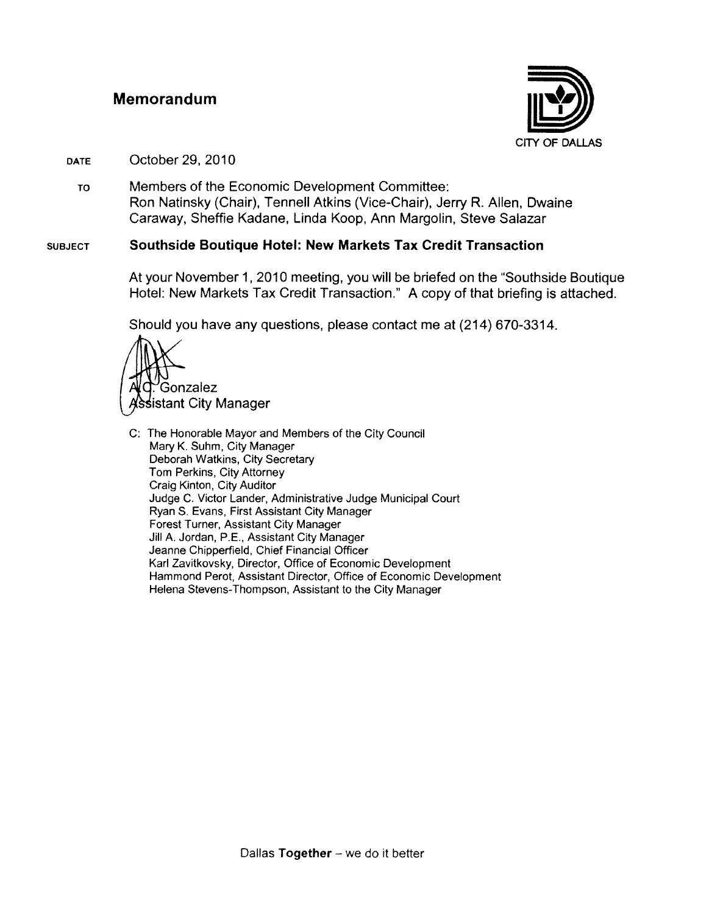#### **Memorandum**



#### DATE October 29, 2010

TO Members of the Economic Development Committee: Ron Natinsky (Chair), Tennell Atkins (Vice-Chair), Jerry R. Allen, Dwaine Caraway, Sheffie Kadane, Linda Koop, Ann Margolin, Steve Salazar

#### **SUBJECT Southside Boutique Hotel: New Markets Tax Credit Transaction**

At your November 1, 2010 meeting, you will be briefed on the "Southside Boutique Hotel: New Markets Tax Credit Transaction." A copy of that briefing is attached.

Should you have any questions, please contact me at (214) 670-3314 .



C: The Honorable Mayor and Members of the City Council Mary K. Suhm, City Manager Deborah Watkins, City Secretary Tom Perkins, City Attorney Craig Kinton, City Auditor Judge C. Victor Lander, Administrative Judge Municipal Court Ryan S. Evans, First Assistant City Manager Forest Turner, Assistant City Manager Jill A. Jordan, P.E., Assistant City Manager Jeanne Chipperfield, Chief Financial Officer Karl Zavitkovsky, Director, Office of Economic Development Hammond Perot, Assistant Director, Office of Economic Development Helena Stevens-Thompson, Assistant to the City Manager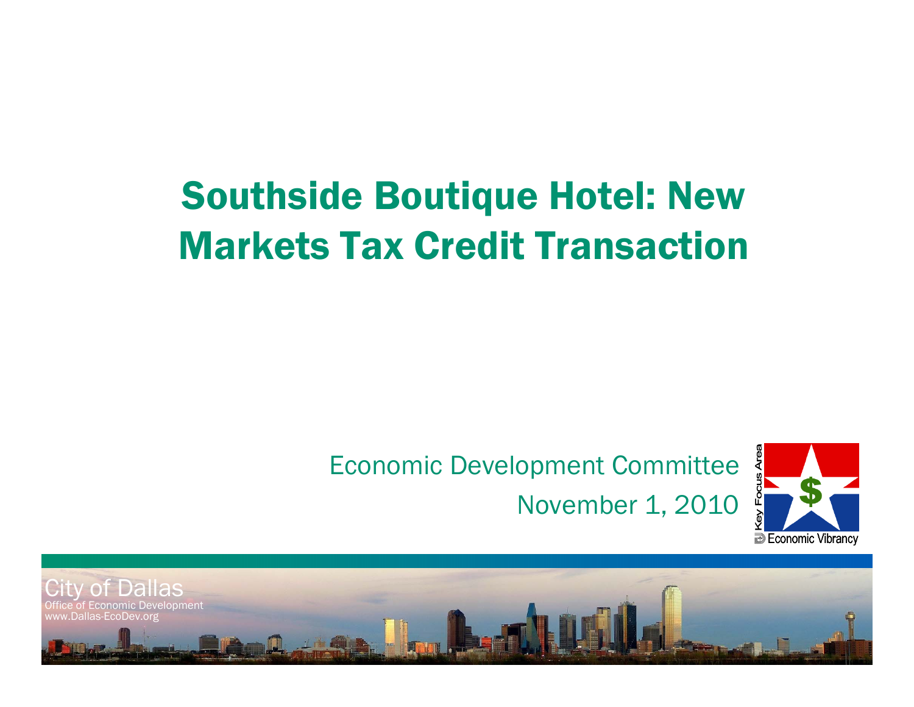# Southside Boutique Hotel: New Markets Tax Credit Transaction

### Economic Development Committee November 1, 2010



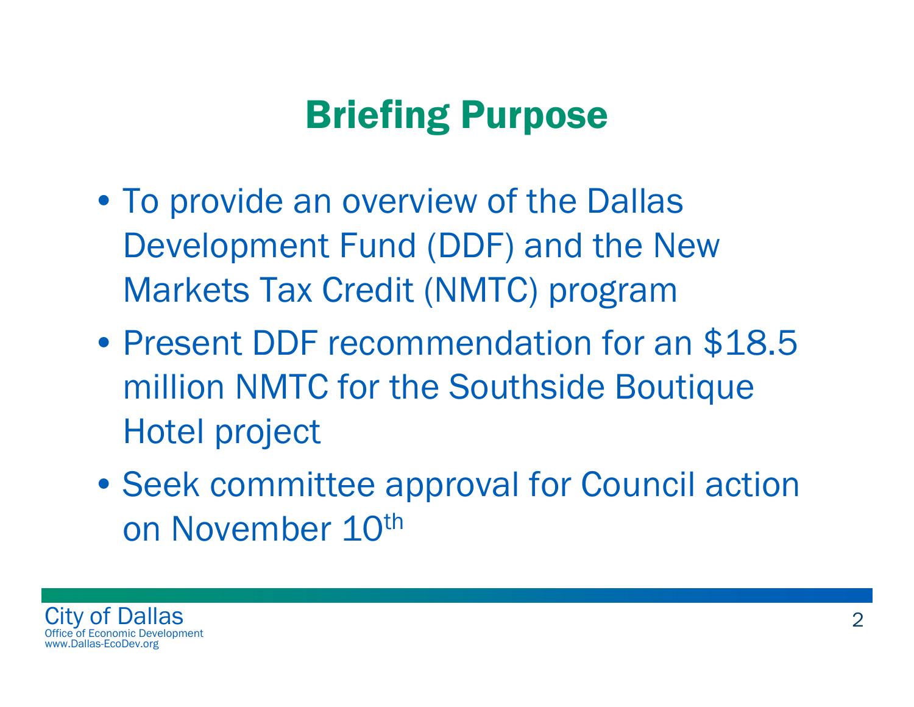# Briefing Purpose

- To provide an overview of the Dallas Development Fund (DDF) and the New Markets Tax Credit (NMTC) program
- •• Present DDF recommendation for an \$18.5 million NMTC for the Southside Boutique Hotel project
- Seek committee approval for Council action on November 10<sup>th</sup>

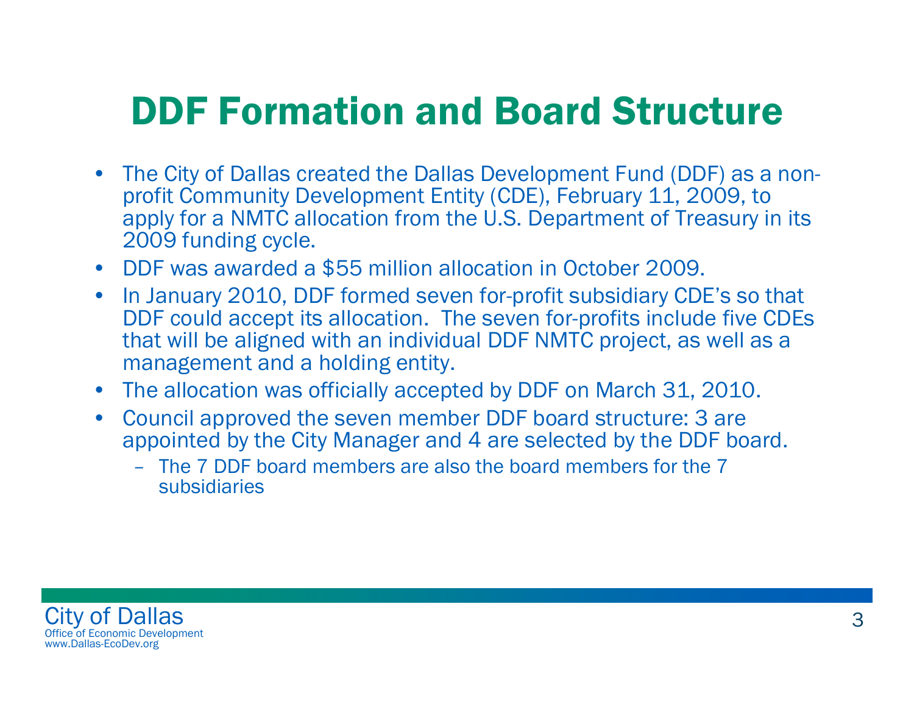## DDF Formation and Board Structure

- • The City of Dallas created the Dallas Development Fund (DDF) as a nonprofit Community Development Entity (CDE), February 11, 2009, to apply for a NMTC allocation from the U.S. Department of Treasury in its 2009 funding cycle.
- DDF was awarded a \$55 million allocation in October 2009.
- In January 2010, DDF formed seven for-profit subsidiary CDE's so that DDF could accept its allocation. The seven for-profits include five CDEs that will be aligned with an individual DDF NMTC project, as well as a management and a holding entity.
- The allocation was officially accepted by DDF on March 31, 2010.
- • Council approved the seven member DDF board structure: 3 are appointed by the City Manager and 4 are selected by the DDF board.
	- The 7 DDF board members are also the board members for the 7 subsidiaries

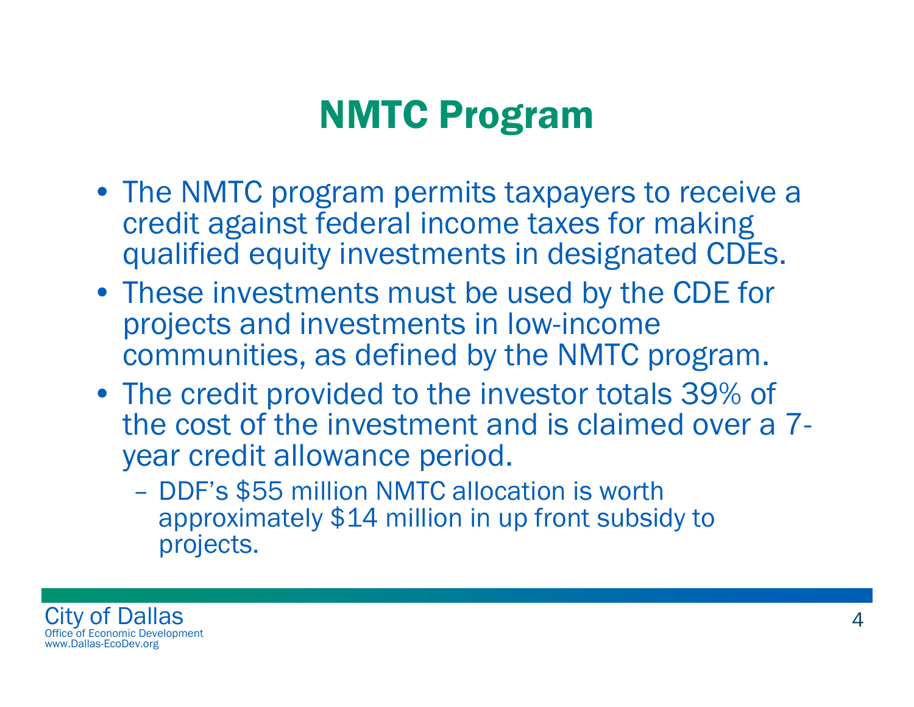# NMTC Program

- The NMTC program permits taxpayers to receive a credit against federal income taxes for making qualified equity investments in designated CDEs.
- These investments must be used by the CDE for projects and investments in low-income communities, as defined by the NMTC program.
- The credit provided to the investor totals 39% of the cost of the investment and is claimed over a 7 year credit allowance period.
	- DDF's \$55 million NMTC allocation is worth approximately \$14 million in up front subsidy to projects.

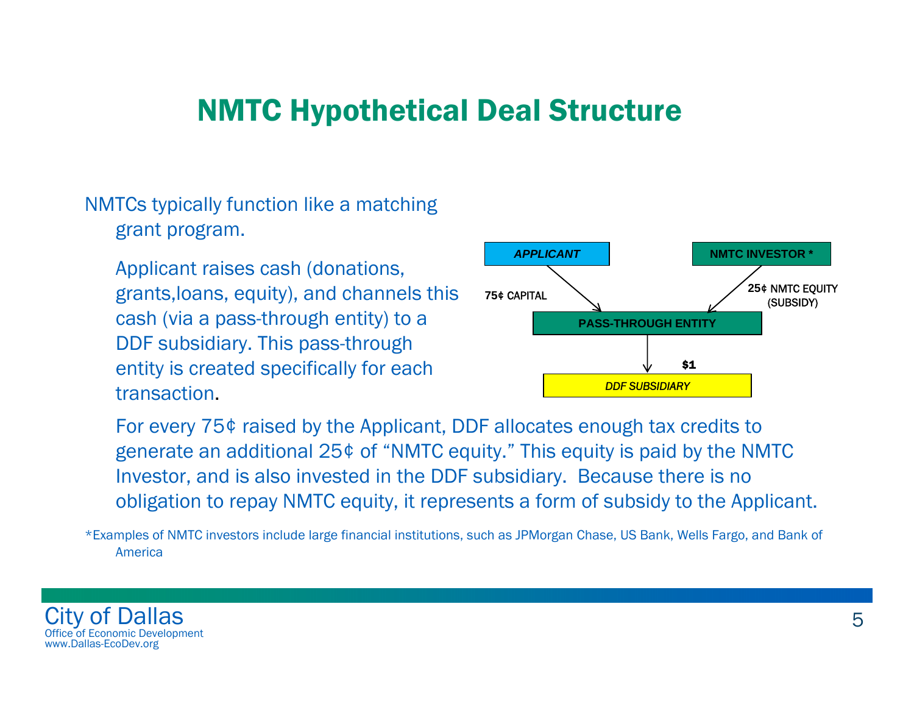### NMTC Hypothetical Deal Structure

NMTCs typically function like a matching grant program.

Applicant raises cash (donations, grants,loans, equity), and channels this cash (via a pass-through entity) to a DDF subsidiary. This pass-through entity is created specifically for each transaction.



For every 75¢ raised by the Applicant, DDF allocates enough tax credits to generate an additional 25¢ of "NMTC equity." This equity is paid by the NMTC Investor, and is also invested in the DDF subsidiary. Because there is no obligation to repay NMTC equity, it represents a form of subsidy to the Applicant.

\*Examples of NMTC investors include large financial institutions, such as JPMorgan Chase, US Bank, Wells Fargo, and Bank of America

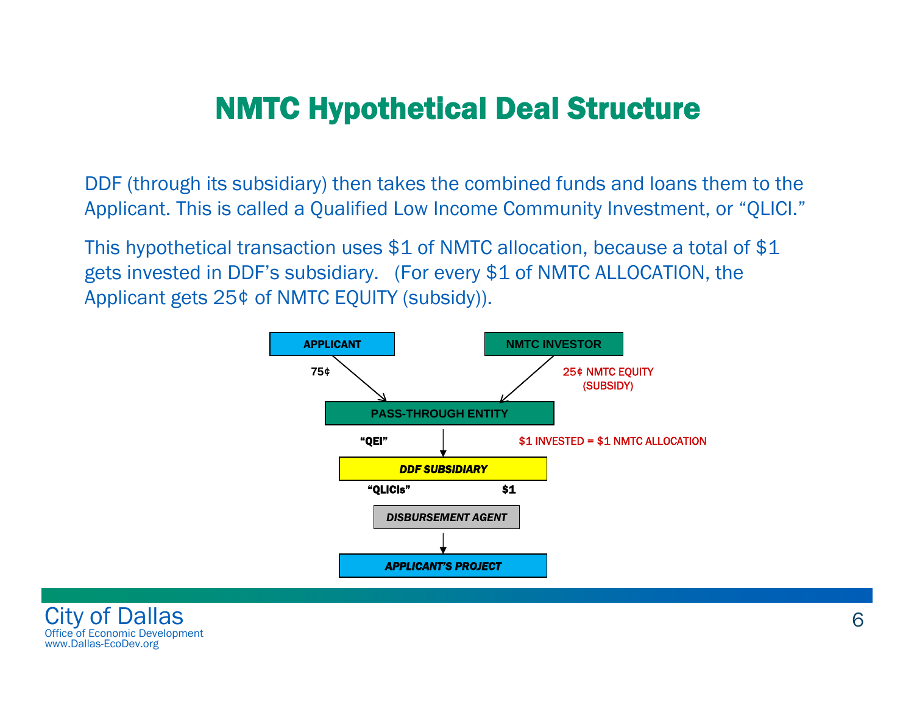### NMTC Hypothetical Deal Structure

DDF (through its subsidiary) then takes the combined funds and loans them to the Applicant. This is called a Qualified Low Income Community Investment, or "QLICI."

This hypothetical transaction uses \$1 of NMTC allocation, because a total of \$1 gets invested in DDF's subsidiary. (For every \$1 of NMTC ALLOCATION, the Applicant gets 25¢ of NMTC EQUITY (subsidy)).



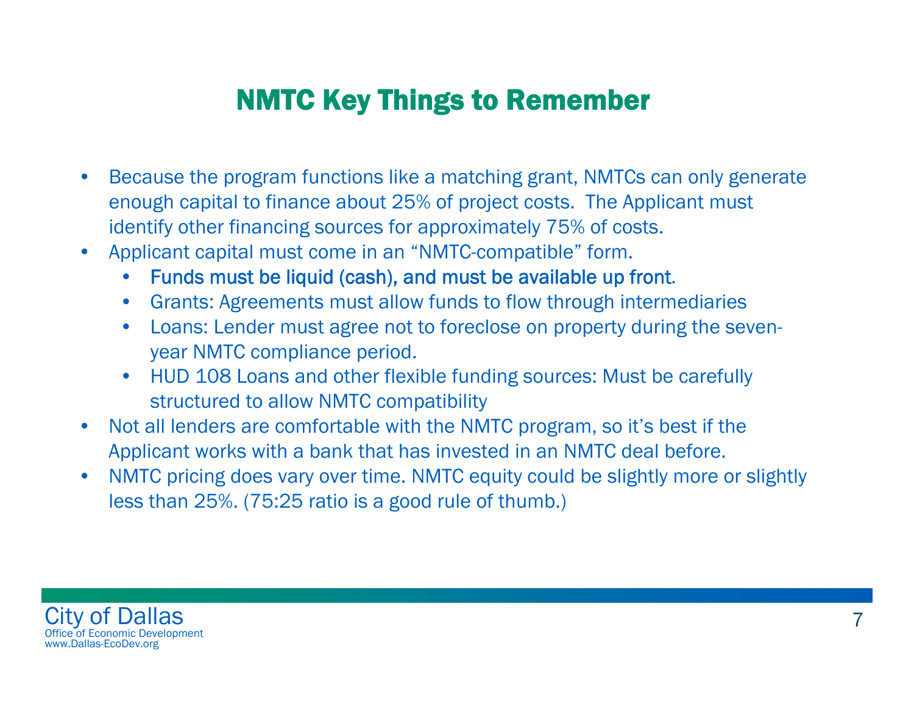#### NMTC Key Things to Remember

- • Because the program functions like a matching grant, NMTCs can only generate enough capital to finance about 25% of project costs. The Applicant must identify other financing sources for approximately 75% of costs.
- • Applicant capital must come in an "NMTC-compatible" form.
	- •Funds must be liquid (cash), and must be available up front.
	- Grants: Agreements must allow funds to flow through intermediaries
	- • Loans: Lender must agree not to foreclose on property during the sevenyear NMTC compliance period.
	- HUD 108 Loans and other flexible funding sources: Must be carefully structured to allow NMTC compatibility
- $\bullet$  Not all lenders are comfortable with the NMTC program, so it's best if the Applicant works with a bank that has invested in an NMTC deal before.
- • NMTC pricing does vary over time. NMTC equity could be slightly more or slightly less than 25%. (75:25 ratio is a good rule of thumb.)

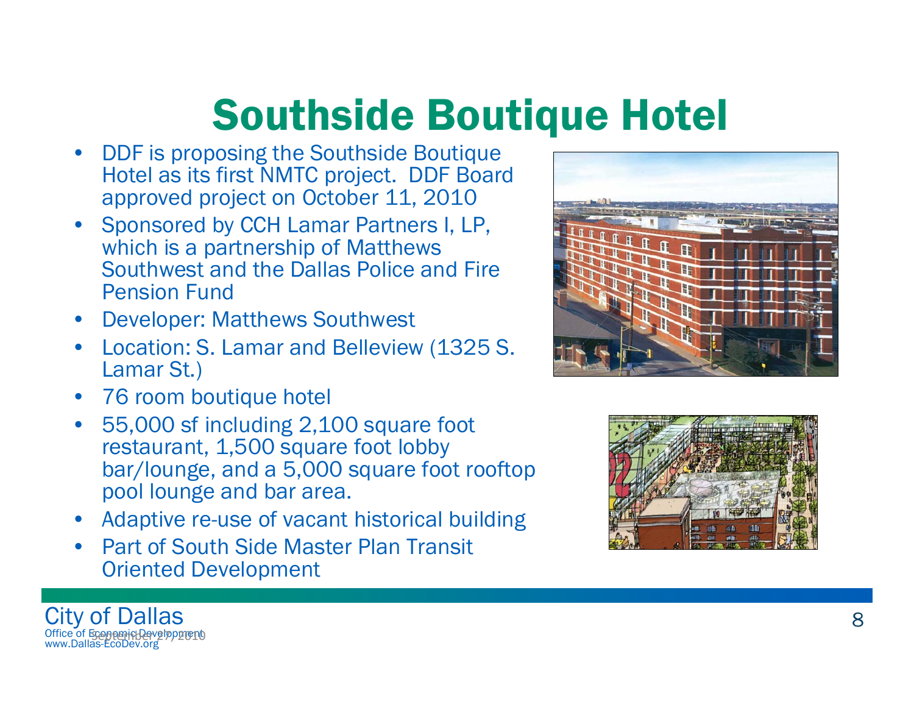# Southside Boutique Hotel

- • DDF is proposing the Southside Boutique Hotel as its first NMTC project. DDF Board approved project on October 11, 2010
- Sponsored by CCH Lamar Partners I, LP, which is a partnership of Matthews Southwest and the Dallas Police and Fire Pension Fund
- •Developer: Matthews Southwest
- • Location: S. Lamar and Belleview (1325 S. Lamar St.)
- 76 room boutique hotel

City of Dallas Office of Economic Development

<u>September 27, 2010 2020</u>

www.Dallas-EcoDev.org

- • 55,000 sf including 2,100 square foot restaurant, 1,500 square foot lobby bar/lounge, and a 5,000 square foot rooftop pool lounge and bar area.
- Adaptive re-use of vacant historical building
- • Part of South Side Master Plan Transit Oriented Development



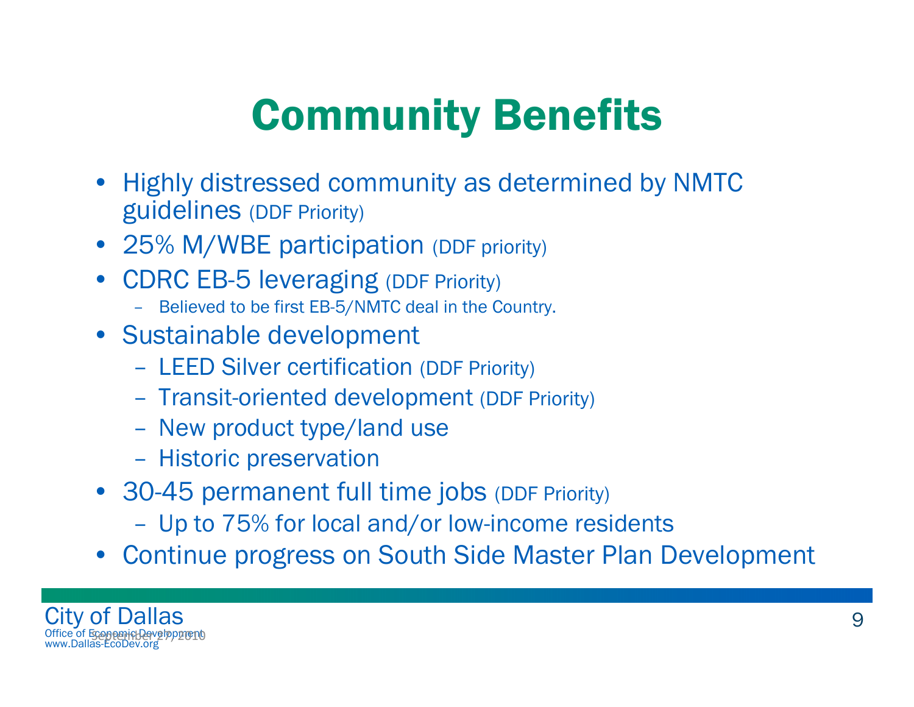# Community Benefits

- Highly distressed community as determined by NMTC guidelines (DDF Priority)
- 25% M/WBE participation (DDF priority)
- CDRC EB-5 leveraging (DDF Priority)
	- Believed to be first EB-5/NMTC deal in the Country.
- Sustainable development
	- LEED Silver certification (DDF Priority)
	- Transit-oriented development (DDF Priority)
	- New product type/land use
	- Historic preservation
- 30-45 permanent full time jobs (DDF Priority)
	- Up to 75% for local and/or low-income residents
- Continue progress on South Side Master Plan Development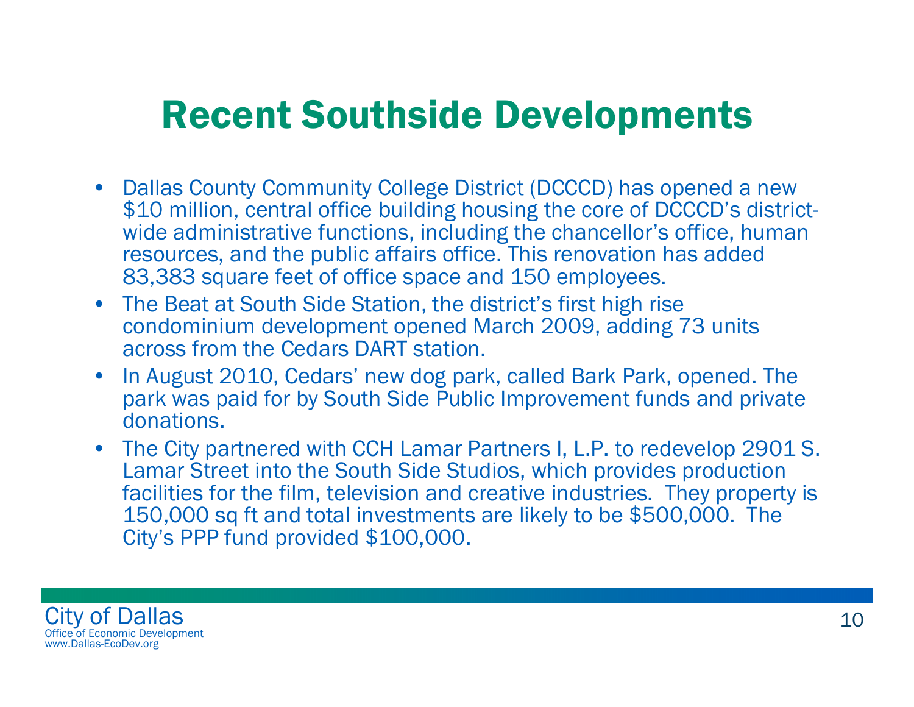## Recent Southside Developments

- Dallas County Community College District (DCCCD) has opened a new \$10 million, central office building housing the core of DCCCD's districtwide administrative functions, including the chancellor's office, human resources, and the public affairs office. This renovation has added 83,383 square feet of office space and 150 employees.
- The Beat at South Side Station, the district's first high rise condominium development opened March 2009, adding 73 units across from the Cedars DART station.
- In August 2010, Cedars' new dog park, called Bark Park, opened. The park was paid for by South Side Public Improvement funds and private donations.
- The City partnered with CCH Lamar Partners I, L.P. to redevelop 2901 S. Lamar Street into the South Side Studios, which provides production facilities for the film, television and creative industries. They property is 150,000 sq ft and total investments are likely to be \$500,000. The City's PPP fund provided \$100,000.

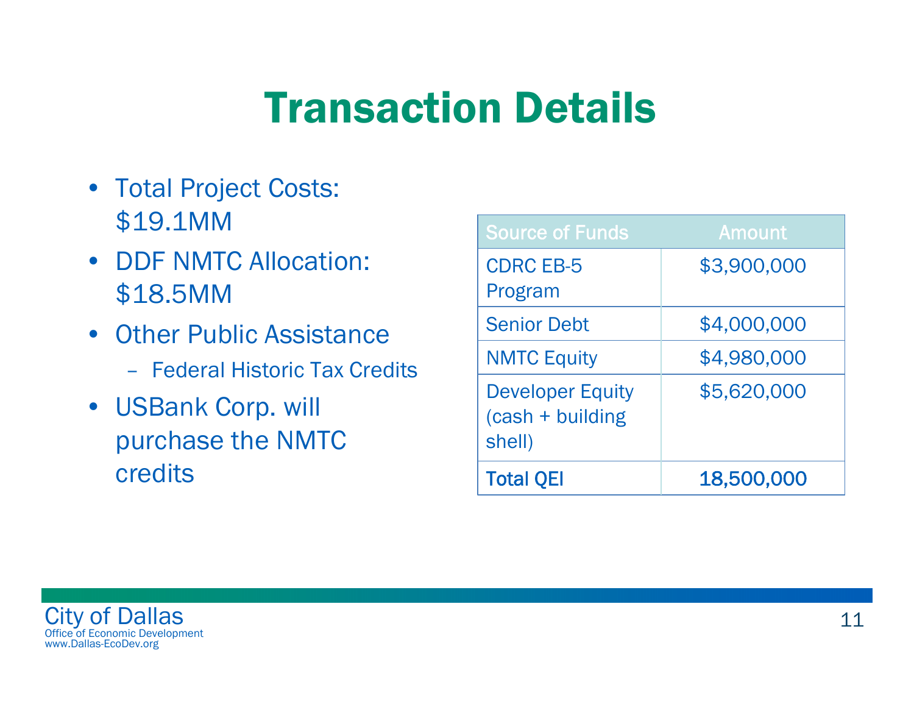# Transaction Details

- Total Project Costs: \$19.1MM
- **DDF NMTC Allocation:** \$18.5MM
- Other Public Assistance
	- Federal Historic Tax Credits
- USBank Corp. will purchase the NMTC credits

| <b>Source of Funds</b>                                   | Amount      |
|----------------------------------------------------------|-------------|
| <b>CDRC EB-5</b><br>Program                              | \$3,900,000 |
| <b>Senior Debt</b>                                       | \$4,000,000 |
| <b>NMTC Equity</b>                                       | \$4,980,000 |
| <b>Developer Equity</b><br>$(cash + building)$<br>shell) | \$5,620,000 |
| <b>Total QEI</b>                                         | 18,500,000  |